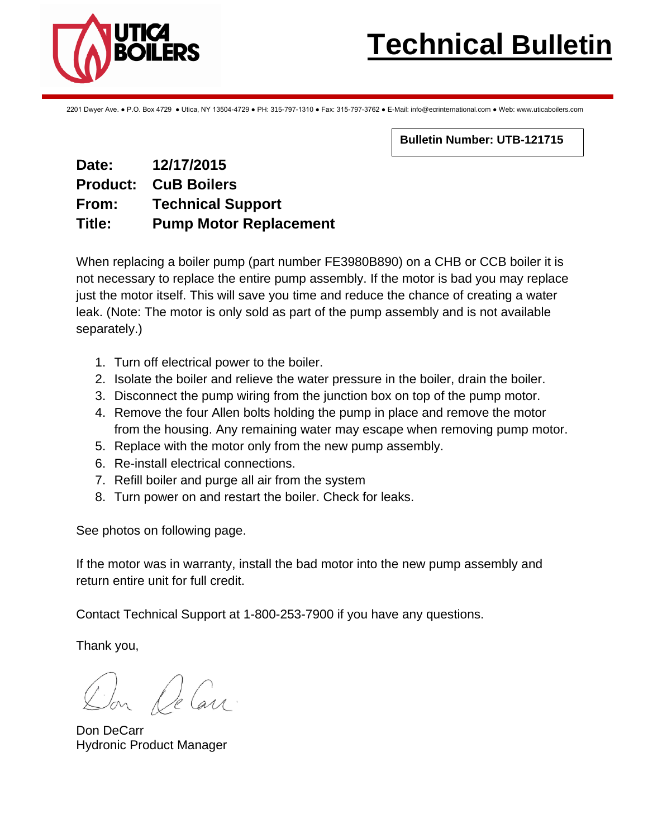

2201 Dwyer Ave. ● P.O. Box 4729 ● Utica, NY 13504-4729 ● PH: 315-797-1310 ● Fax: 315-797-3762 ● E-Mail: info@ecrinternational.com ● Web: www.uticaboilers.com

**Bulletin Number: UTB-121715**

## **Date: 12/17/2015 Product: CuB Boilers From: Technical Support Title: Pump Motor Replacement**

When replacing a boiler pump (part number FE3980B890) on a CHB or CCB boiler it is not necessary to replace the entire pump assembly. If the motor is bad you may replace just the motor itself. This will save you time and reduce the chance of creating a water leak. (Note: The motor is only sold as part of the pump assembly and is not available separately.)

- 1. Turn off electrical power to the boiler.
- 2. Isolate the boiler and relieve the water pressure in the boiler, drain the boiler.
- 3. Disconnect the pump wiring from the junction box on top of the pump motor.
- 4. Remove the four Allen bolts holding the pump in place and remove the motor from the housing. Any remaining water may escape when removing pump motor.
- 5. Replace with the motor only from the new pump assembly.
- 6. Re-install electrical connections.
- 7. Refill boiler and purge all air from the system
- 8. Turn power on and restart the boiler. Check for leaks.

See photos on following page.

If the motor was in warranty, install the bad motor into the new pump assembly and return entire unit for full credit.

Contact Technical Support at 1-800-253-7900 if you have any questions.

Thank you,

Ion De Carr

Don DeCarr Hydronic Product Manager